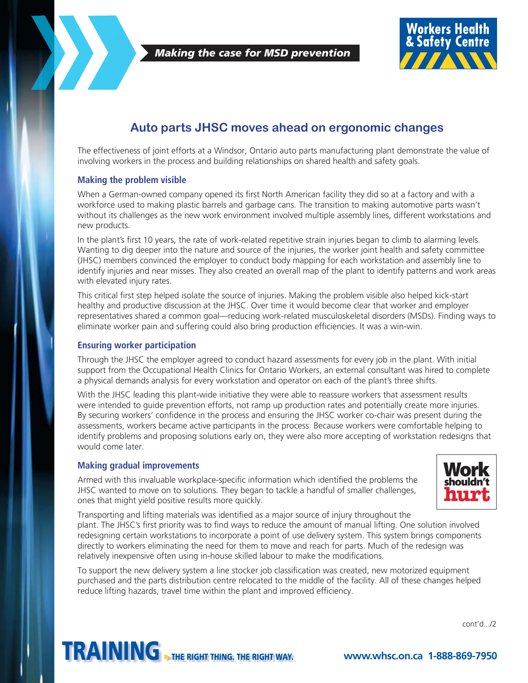

 *Making the case for MSD prevention*



## **Auto parts JHSC moves ahead on ergonomic changes**

The effectiveness of joint efforts at a Windsor, Ontario auto parts manufacturing plant demonstrate the value of involving workers in the process and building relationships on shared health and safety goals.

### **Making the problem visible**

When a German-owned company opened its first North American facility they did so at a factory and with a workforce used to making plastic barrels and garbage cans. The transition to making automotive parts wasn't without its challenges as the new work environment involved multiple assembly lines, different workstations and new products.

In the plant's first 10 years, the rate of work-related repetitive strain injuries began to climb to alarming levels. Wanting to dig deeper into the nature and source of the injuries, the worker joint health and safety committee (JHSC) members convinced the employer to conduct body mapping for each workstation and assembly line to identify injuries and near misses. They also created an overall map of the plant to identify patterns and work areas with elevated injury rates.

This critical first step helped isolate the source of injuries. Making the problem visible also helped kick-start healthy and productive discussion at the JHSC. Over time it would become clear that worker and employer representatives shared a common goal—reducing work-related musculoskeletal disorders (MSDs). Finding ways to eliminate worker pain and suffering could also bring production efficiencies. It was a win-win.

#### **Ensuring worker participation**

Through the JHSC the employer agreed to conduct hazard assessments for every job in the plant. With initial support from the Occupational Health Clinics for Ontario Workers, an external consultant was hired to complete a physical demands analysis for every workstation and operator on each of the plant's three shifts.

With the JHSC leading this plant-wide initiative they were able to reassure workers that assessment results were intended to guide prevention efforts, not ramp up production rates and potentially create more injuries. By securing workers' confidence in the process and ensuring the JHSC worker co-chair was present during the assessments, workers became active participants in the process. Because workers were comfortable helping to identify problems and proposing solutions early on, they were also more accepting of workstation redesigns that would come later.

#### **Making gradual improvements**

Armed with this invaluable workplace-specific information which identified the problems the JHSC wanted to move on to solutions. They began to tackle a handful of smaller challenges, ones that might yield positive results more quickly.



Transporting and lifting materials was identified as a major source of injury throughout the plant. The JHSC's first priority was to find ways to reduce the amount of manual lifting. One solution involved redesigning certain workstations to incorporate a point of use delivery system. This system brings components directly to workers eliminating the need for them to move and reach for parts. Much of the redesign was relatively inexpensive often using in-house skilled labour to make the modifications.

To support the new delivery system a line stocker job classification was created, new motorized equipment purchased and the parts distribution centre relocated to the middle of the facility. All of these changes helped reduce lifting hazards, travel time within the plant and improved efficiency.

cont'd.../2

# TRAINING THE RIGHT THING. THE RIGHT WAY. **www.whsc.on.ca 1-888-869-7950**